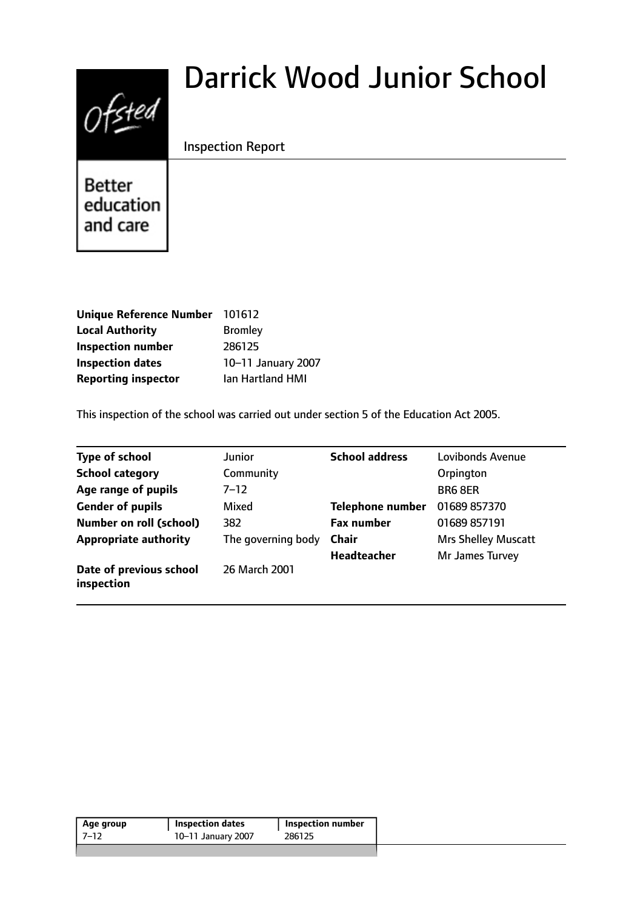# Ofsted

# Darrick Wood Junior School

Inspection Report

Better education and care

| <b>Unique Reference Number</b> | 101612             |
|--------------------------------|--------------------|
| <b>Local Authority</b>         | <b>Bromley</b>     |
| <b>Inspection number</b>       | 286125             |
| <b>Inspection dates</b>        | 10-11 January 2007 |
| <b>Reporting inspector</b>     | lan Hartland HMI   |

This inspection of the school was carried out under section 5 of the Education Act 2005.

| <b>Type of school</b>                 | Junior             | <b>School address</b>   | <b>Lovibonds Avenue</b>    |
|---------------------------------------|--------------------|-------------------------|----------------------------|
| <b>School category</b>                | Community          |                         | Orpington                  |
| Age range of pupils                   | $7 - 12$           |                         | <b>BR6 8ER</b>             |
| <b>Gender of pupils</b>               | Mixed              | <b>Telephone number</b> | 01689 857370               |
| <b>Number on roll (school)</b>        | 382                | <b>Fax number</b>       | 01689 857191               |
| <b>Appropriate authority</b>          | The governing body | <b>Chair</b>            | <b>Mrs Shelley Muscatt</b> |
|                                       |                    | <b>Headteacher</b>      | Mr James Turvey            |
| Date of previous school<br>inspection | 26 March 2001      |                         |                            |

| Age group | <b>Inspection dates</b> | <b>Inspection number</b> |
|-----------|-------------------------|--------------------------|
| 7–12      | 10-11 January 2007      | 286125                   |
|           |                         |                          |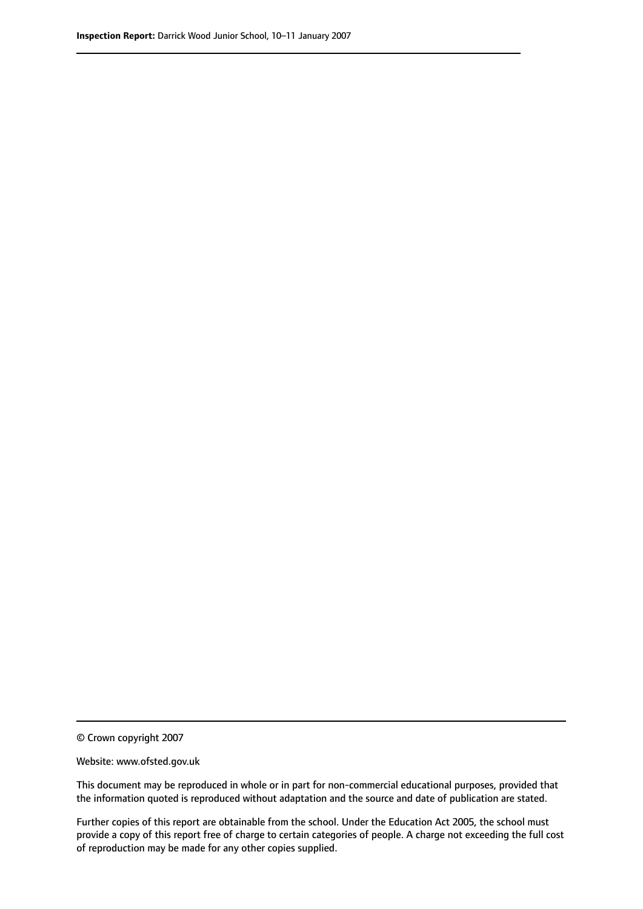© Crown copyright 2007

Website: www.ofsted.gov.uk

This document may be reproduced in whole or in part for non-commercial educational purposes, provided that the information quoted is reproduced without adaptation and the source and date of publication are stated.

Further copies of this report are obtainable from the school. Under the Education Act 2005, the school must provide a copy of this report free of charge to certain categories of people. A charge not exceeding the full cost of reproduction may be made for any other copies supplied.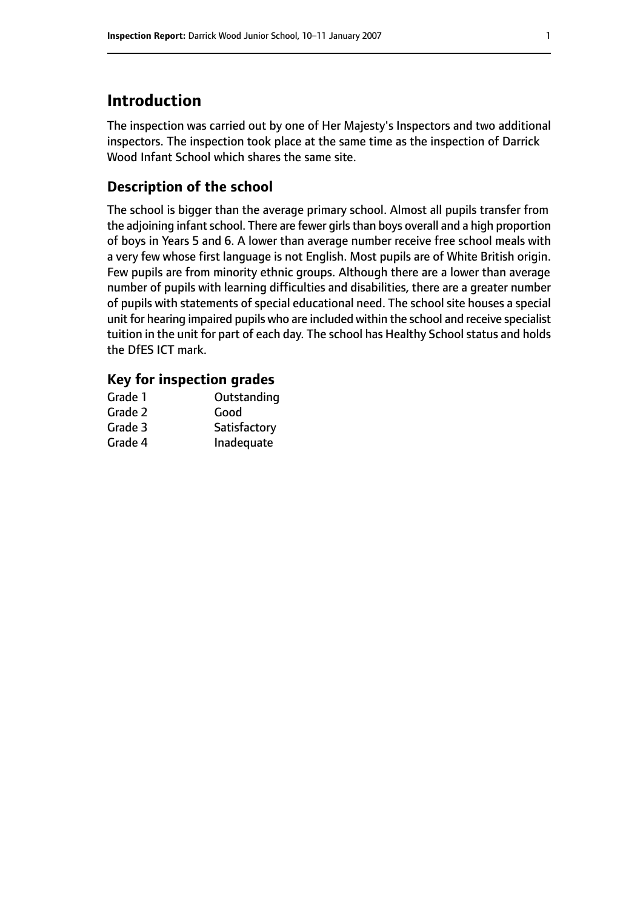# **Introduction**

The inspection was carried out by one of Her Majesty's Inspectors and two additional inspectors. The inspection took place at the same time as the inspection of Darrick Wood Infant School which shares the same site.

# **Description of the school**

The school is bigger than the average primary school. Almost all pupils transfer from the adjoining infant school. There are fewer girls than boys overall and a high proportion of boys in Years 5 and 6. A lower than average number receive free school meals with a very few whose first language is not English. Most pupils are of White British origin. Few pupils are from minority ethnic groups. Although there are a lower than average number of pupils with learning difficulties and disabilities, there are a greater number of pupils with statements of special educational need. The school site houses a special unit for hearing impaired pupils who are included within the school and receive specialist tuition in the unit for part of each day. The school has Healthy School status and holds the DfES ICT mark.

### **Key for inspection grades**

| Grade 1 | Outstanding  |
|---------|--------------|
| Grade 2 | Good         |
| Grade 3 | Satisfactory |
| Grade 4 | Inadequate   |
|         |              |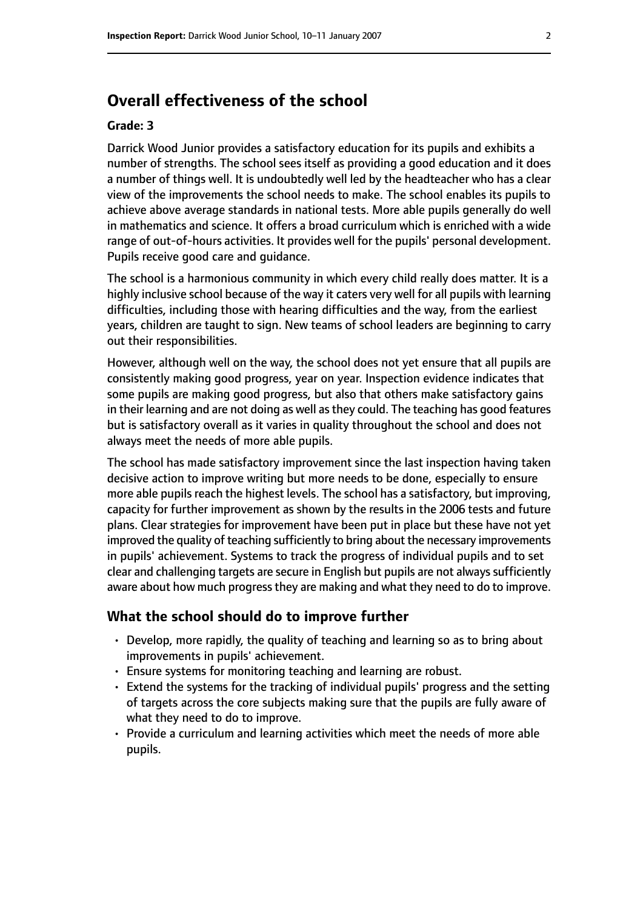# **Overall effectiveness of the school**

#### **Grade: 3**

Darrick Wood Junior provides a satisfactory education for its pupils and exhibits a number of strengths. The school sees itself as providing a good education and it does a number of things well. It is undoubtedly well led by the headteacher who has a clear view of the improvements the school needs to make. The school enables its pupils to achieve above average standards in national tests. More able pupils generally do well in mathematics and science. It offers a broad curriculum which is enriched with a wide range of out-of-hours activities. It provides well for the pupils' personal development. Pupils receive good care and guidance.

The school is a harmonious community in which every child really does matter. It is a highly inclusive school because of the way it caters very well for all pupils with learning difficulties, including those with hearing difficulties and the way, from the earliest years, children are taught to sign. New teams of school leaders are beginning to carry out their responsibilities.

However, although well on the way, the school does not yet ensure that all pupils are consistently making good progress, year on year. Inspection evidence indicates that some pupils are making good progress, but also that others make satisfactory gains in their learning and are not doing as well asthey could. The teaching has good features but is satisfactory overall as it varies in quality throughout the school and does not always meet the needs of more able pupils.

The school has made satisfactory improvement since the last inspection having taken decisive action to improve writing but more needs to be done, especially to ensure more able pupils reach the highest levels. The school has a satisfactory, but improving, capacity for further improvement as shown by the results in the 2006 tests and future plans. Clear strategies for improvement have been put in place but these have not yet improved the quality of teaching sufficiently to bring about the necessary improvements in pupils' achievement. Systems to track the progress of individual pupils and to set clear and challenging targets are secure in English but pupils are not always sufficiently aware about how much progress they are making and what they need to do to improve.

#### **What the school should do to improve further**

- Develop, more rapidly, the quality of teaching and learning so as to bring about improvements in pupils' achievement.
- Ensure systems for monitoring teaching and learning are robust.
- Extend the systems for the tracking of individual pupils' progress and the setting of targets across the core subjects making sure that the pupils are fully aware of what they need to do to improve.
- Provide a curriculum and learning activities which meet the needs of more able pupils.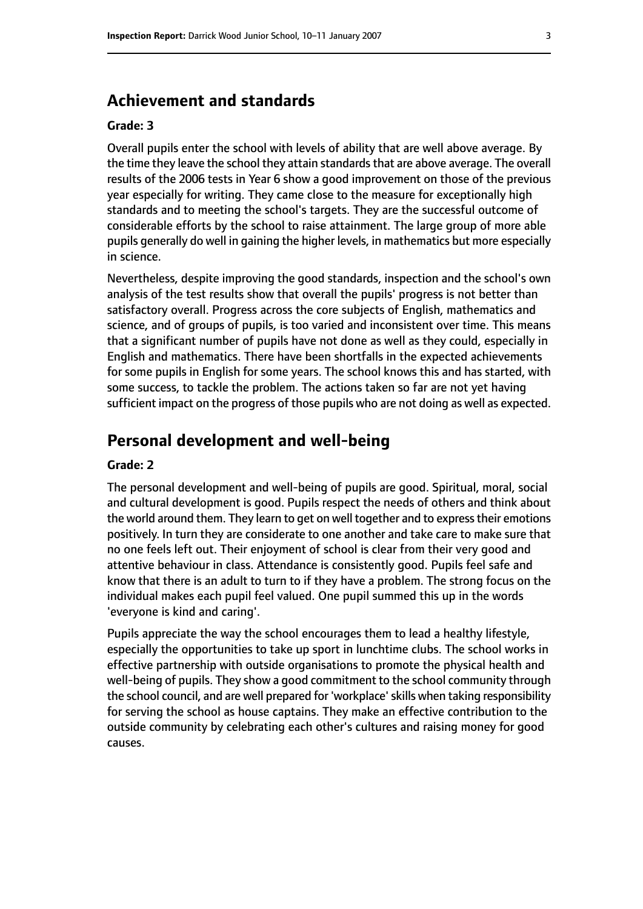# **Achievement and standards**

#### **Grade: 3**

Overall pupils enter the school with levels of ability that are well above average. By the time they leave the school they attain standards that are above average. The overall results of the 2006 tests in Year 6 show a good improvement on those of the previous year especially for writing. They came close to the measure for exceptionally high standards and to meeting the school's targets. They are the successful outcome of considerable efforts by the school to raise attainment. The large group of more able pupils generally do well in gaining the higher levels, in mathematics but more especially in science.

Nevertheless, despite improving the good standards, inspection and the school's own analysis of the test results show that overall the pupils' progress is not better than satisfactory overall. Progress across the core subjects of English, mathematics and science, and of groups of pupils, is too varied and inconsistent over time. This means that a significant number of pupils have not done as well as they could, especially in English and mathematics. There have been shortfalls in the expected achievements for some pupils in English for some years. The school knows this and has started, with some success, to tackle the problem. The actions taken so far are not yet having sufficient impact on the progress of those pupils who are not doing as well as expected.

## **Personal development and well-being**

#### **Grade: 2**

The personal development and well-being of pupils are good. Spiritual, moral, social and cultural development is good. Pupils respect the needs of others and think about the world around them. They learn to get on well together and to express their emotions positively. In turn they are considerate to one another and take care to make sure that no one feels left out. Their enjoyment of school is clear from their very good and attentive behaviour in class. Attendance is consistently good. Pupils feel safe and know that there is an adult to turn to if they have a problem. The strong focus on the individual makes each pupil feel valued. One pupil summed this up in the words 'everyone is kind and caring'.

Pupils appreciate the way the school encourages them to lead a healthy lifestyle, especially the opportunities to take up sport in lunchtime clubs. The school works in effective partnership with outside organisations to promote the physical health and well-being of pupils. They show a good commitment to the school community through the school council, and are well prepared for 'workplace'skills when taking responsibility for serving the school as house captains. They make an effective contribution to the outside community by celebrating each other's cultures and raising money for good causes.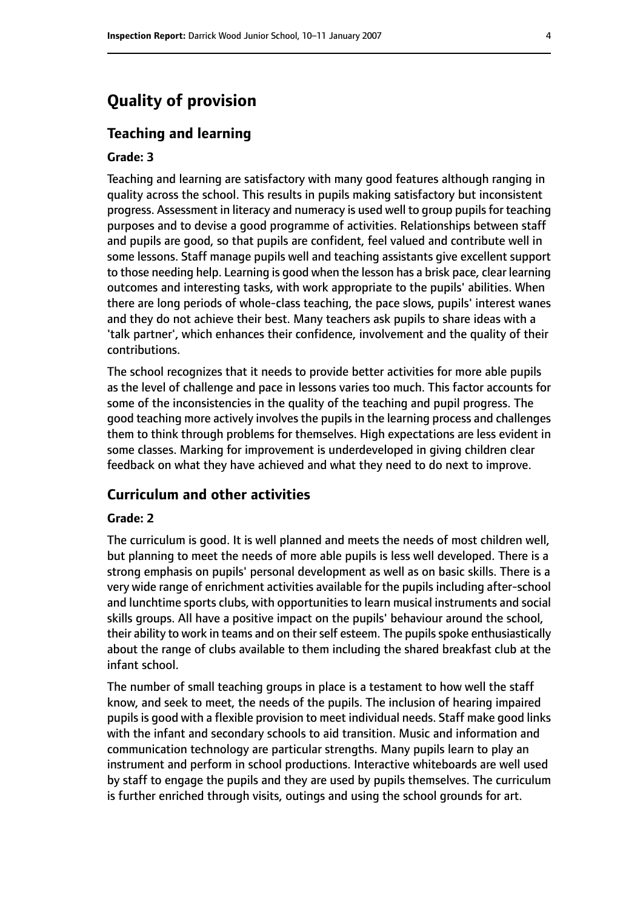# **Quality of provision**

#### **Teaching and learning**

#### **Grade: 3**

Teaching and learning are satisfactory with many good features although ranging in quality across the school. This results in pupils making satisfactory but inconsistent progress. Assessment in literacy and numeracy is used well to group pupils for teaching purposes and to devise a good programme of activities. Relationships between staff and pupils are good, so that pupils are confident, feel valued and contribute well in some lessons. Staff manage pupils well and teaching assistants give excellent support to those needing help. Learning is good when the lesson has a brisk pace, clear learning outcomes and interesting tasks, with work appropriate to the pupils' abilities. When there are long periods of whole-class teaching, the pace slows, pupils' interest wanes and they do not achieve their best. Many teachers ask pupils to share ideas with a 'talk partner', which enhances their confidence, involvement and the quality of their contributions.

The school recognizes that it needs to provide better activities for more able pupils as the level of challenge and pace in lessons varies too much. This factor accounts for some of the inconsistencies in the quality of the teaching and pupil progress. The good teaching more actively involves the pupils in the learning process and challenges them to think through problems for themselves. High expectations are less evident in some classes. Marking for improvement is underdeveloped in giving children clear feedback on what they have achieved and what they need to do next to improve.

#### **Curriculum and other activities**

#### **Grade: 2**

The curriculum is good. It is well planned and meets the needs of most children well, but planning to meet the needs of more able pupils is less well developed. There is a strong emphasis on pupils' personal development as well as on basic skills. There is a very wide range of enrichment activities available for the pupils including after-school and lunchtime sports clubs, with opportunities to learn musical instruments and social skills groups. All have a positive impact on the pupils' behaviour around the school, their ability to work in teams and on their self esteem. The pupils spoke enthusiastically about the range of clubs available to them including the shared breakfast club at the infant school.

The number of small teaching groups in place is a testament to how well the staff know, and seek to meet, the needs of the pupils. The inclusion of hearing impaired pupils is good with a flexible provision to meet individual needs. Staff make good links with the infant and secondary schools to aid transition. Music and information and communication technology are particular strengths. Many pupils learn to play an instrument and perform in school productions. Interactive whiteboards are well used by staff to engage the pupils and they are used by pupils themselves. The curriculum is further enriched through visits, outings and using the school grounds for art.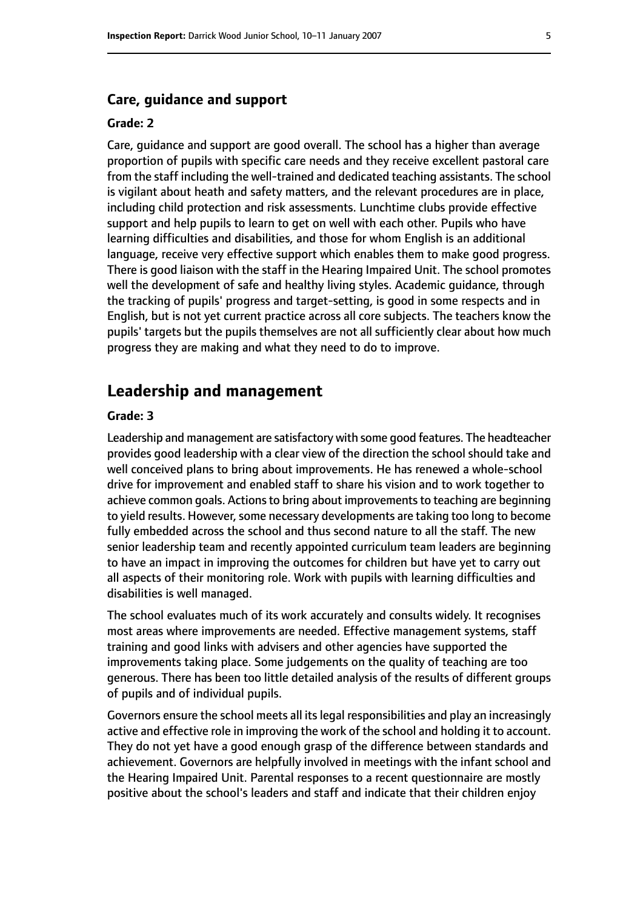#### **Care, guidance and support**

#### **Grade: 2**

Care, guidance and support are good overall. The school has a higher than average proportion of pupils with specific care needs and they receive excellent pastoral care from the staff including the well-trained and dedicated teaching assistants. The school is vigilant about heath and safety matters, and the relevant procedures are in place, including child protection and risk assessments. Lunchtime clubs provide effective support and help pupils to learn to get on well with each other. Pupils who have learning difficulties and disabilities, and those for whom English is an additional language, receive very effective support which enables them to make good progress. There is good liaison with the staff in the Hearing Impaired Unit. The school promotes well the development of safe and healthy living styles. Academic guidance, through the tracking of pupils' progress and target-setting, is good in some respects and in English, but is not yet current practice across all core subjects. The teachers know the pupils' targets but the pupils themselves are not all sufficiently clear about how much progress they are making and what they need to do to improve.

#### **Leadership and management**

#### **Grade: 3**

Leadership and management are satisfactory with some good features. The headteacher provides good leadership with a clear view of the direction the school should take and well conceived plans to bring about improvements. He has renewed a whole-school drive for improvement and enabled staff to share his vision and to work together to achieve common goals. Actions to bring about improvements to teaching are beginning to yield results. However, some necessary developments are taking too long to become fully embedded across the school and thus second nature to all the staff. The new senior leadership team and recently appointed curriculum team leaders are beginning to have an impact in improving the outcomes for children but have yet to carry out all aspects of their monitoring role. Work with pupils with learning difficulties and disabilities is well managed.

The school evaluates much of its work accurately and consults widely. It recognises most areas where improvements are needed. Effective management systems, staff training and good links with advisers and other agencies have supported the improvements taking place. Some judgements on the quality of teaching are too generous. There has been too little detailed analysis of the results of different groups of pupils and of individual pupils.

Governors ensure the school meets all itslegal responsibilities and play an increasingly active and effective role in improving the work of the school and holding it to account. They do not yet have a good enough grasp of the difference between standards and achievement. Governors are helpfully involved in meetings with the infant school and the Hearing Impaired Unit. Parental responses to a recent questionnaire are mostly positive about the school's leaders and staff and indicate that their children enjoy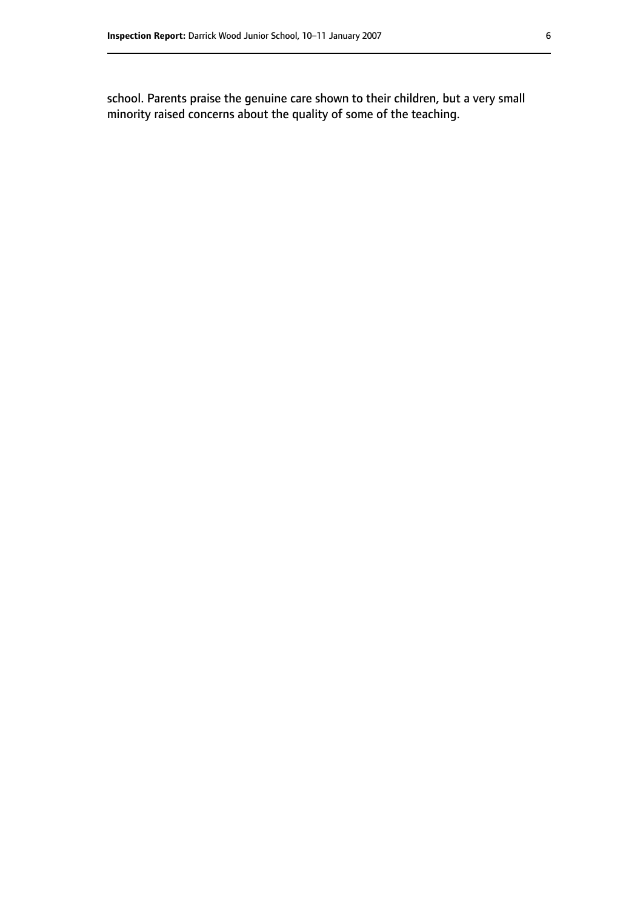school. Parents praise the genuine care shown to their children, but a very small minority raised concerns about the quality of some of the teaching.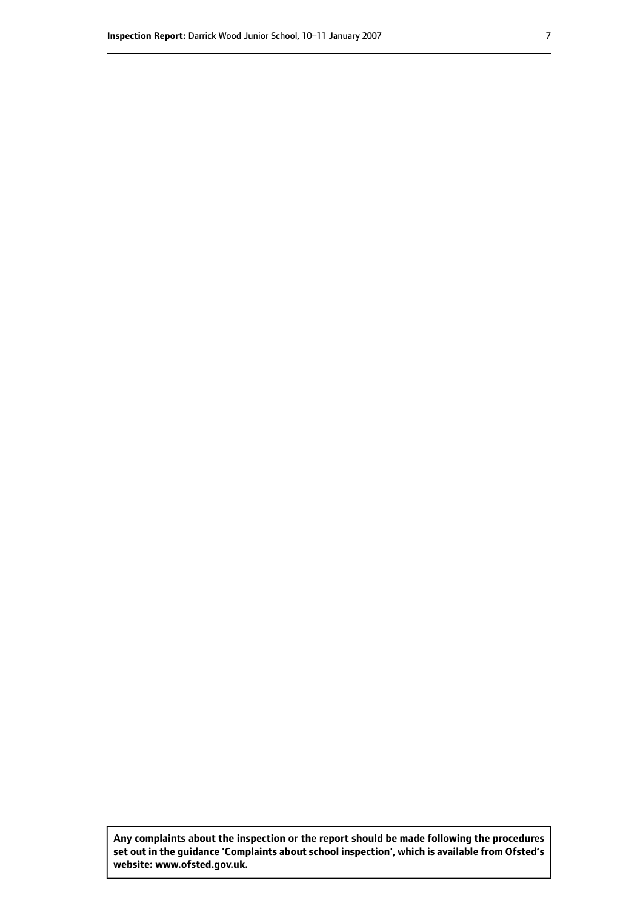**Any complaints about the inspection or the report should be made following the procedures set out inthe guidance 'Complaints about school inspection', whichis available from Ofsted's website: www.ofsted.gov.uk.**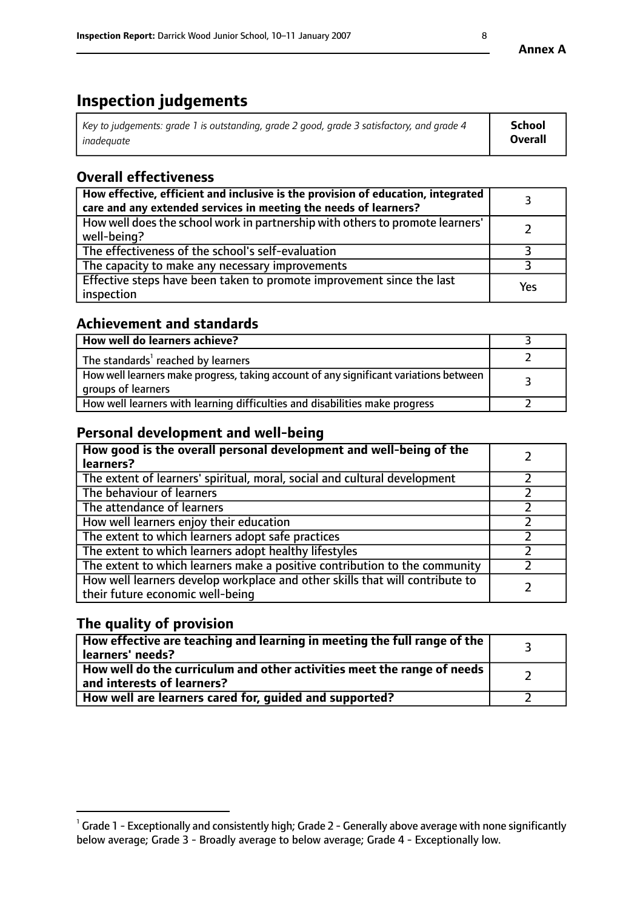# **Inspection judgements**

| Key to judgements: grade 1 is outstanding, grade 2 good, grade 3 satisfactory, and grade 4 | School         |
|--------------------------------------------------------------------------------------------|----------------|
| inadeauate                                                                                 | <b>Overall</b> |

# **Overall effectiveness**

| How effective, efficient and inclusive is the provision of education, integrated<br>care and any extended services in meeting the needs of learners? |     |
|------------------------------------------------------------------------------------------------------------------------------------------------------|-----|
| How well does the school work in partnership with others to promote learners'<br>well-being?                                                         |     |
| The effectiveness of the school's self-evaluation                                                                                                    |     |
| The capacity to make any necessary improvements                                                                                                      |     |
| Effective steps have been taken to promote improvement since the last<br>inspection                                                                  | Yes |

# **Achievement and standards**

| How well do learners achieve?                                                                               |  |
|-------------------------------------------------------------------------------------------------------------|--|
| The standards <sup>1</sup> reached by learners                                                              |  |
| How well learners make progress, taking account of any significant variations between<br>groups of learners |  |
| How well learners with learning difficulties and disabilities make progress                                 |  |

# **Personal development and well-being**

| How good is the overall personal development and well-being of the<br>learners?                                  |  |
|------------------------------------------------------------------------------------------------------------------|--|
| The extent of learners' spiritual, moral, social and cultural development                                        |  |
| The behaviour of learners                                                                                        |  |
| The attendance of learners                                                                                       |  |
| How well learners enjoy their education                                                                          |  |
| The extent to which learners adopt safe practices                                                                |  |
| The extent to which learners adopt healthy lifestyles                                                            |  |
| The extent to which learners make a positive contribution to the community                                       |  |
| How well learners develop workplace and other skills that will contribute to<br>their future economic well-being |  |

# **The quality of provision**

| How effective are teaching and learning in meeting the full range of the<br>learners' needs?          |  |
|-------------------------------------------------------------------------------------------------------|--|
| How well do the curriculum and other activities meet the range of needs<br>and interests of learners? |  |
| How well are learners cared for, guided and supported?                                                |  |

 $^1$  Grade 1 - Exceptionally and consistently high; Grade 2 - Generally above average with none significantly below average; Grade 3 - Broadly average to below average; Grade 4 - Exceptionally low.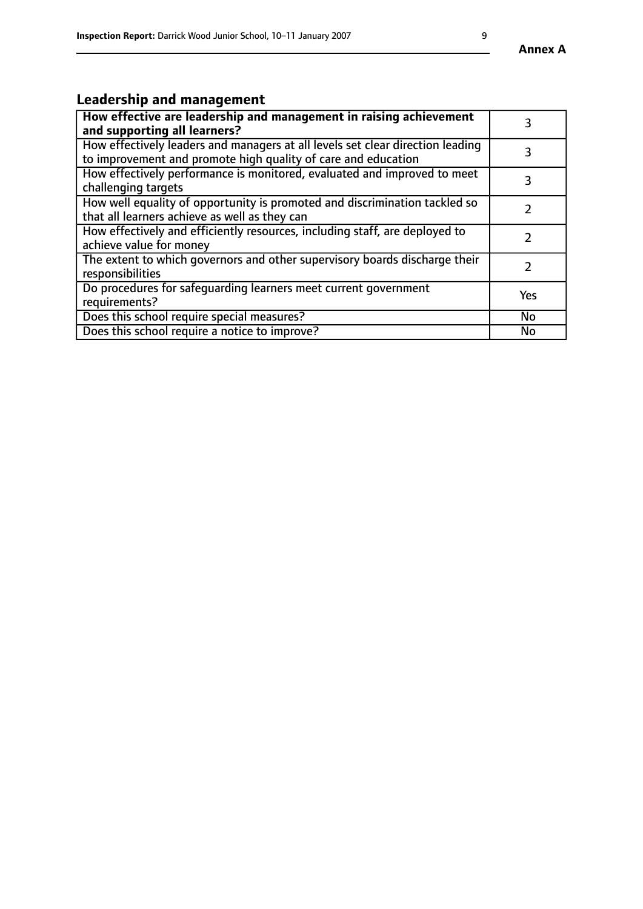# **Leadership and management**

| How effective are leadership and management in raising achievement<br>and supporting all learners?                                              |               |
|-------------------------------------------------------------------------------------------------------------------------------------------------|---------------|
| How effectively leaders and managers at all levels set clear direction leading<br>to improvement and promote high quality of care and education |               |
| How effectively performance is monitored, evaluated and improved to meet<br>challenging targets                                                 | 3             |
| How well equality of opportunity is promoted and discrimination tackled so<br>that all learners achieve as well as they can                     |               |
| How effectively and efficiently resources, including staff, are deployed to<br>achieve value for money                                          | $\mathcal{P}$ |
| The extent to which governors and other supervisory boards discharge their<br>responsibilities                                                  |               |
| Do procedures for safequarding learners meet current government<br>requirements?                                                                | Yes           |
| Does this school require special measures?                                                                                                      | No            |
| Does this school require a notice to improve?                                                                                                   | <b>No</b>     |